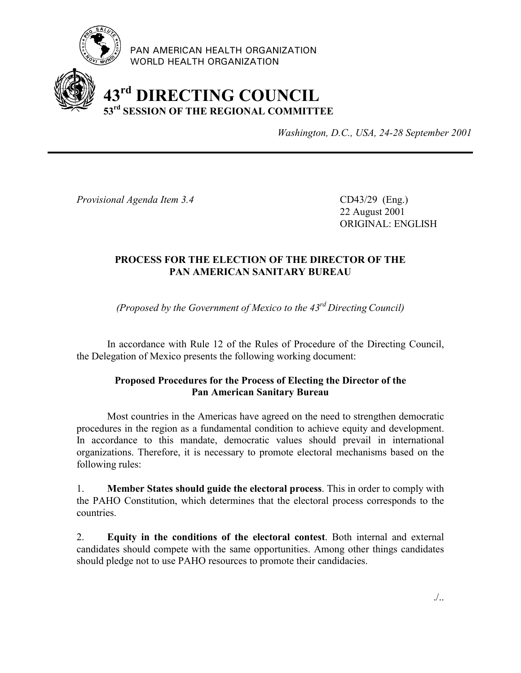

PAN AMERICAN HEALTH ORGANIZATION WORLD HEALTH ORGANIZATION

## **43rd DIRECTING COUNCIL 53rd SESSION OF THE REGIONAL COMMITTEE**

*Washington, D.C., USA, 24-28 September 2001*

*Provisional Agenda Item 3.4* CD43/29 (Eng.)

22 August 2001 ORIGINAL: ENGLISH

## **PROCESS FOR THE ELECTION OF THE DIRECTOR OF THE PAN AMERICAN SANITARY BUREAU**

*(Proposed by the Government of Mexico to the 43rd Directing Council)*

In accordance with Rule 12 of the Rules of Procedure of the Directing Council, the Delegation of Mexico presents the following working document:

## **Proposed Procedures for the Process of Electing the Director of the Pan American Sanitary Bureau**

Most countries in the Americas have agreed on the need to strengthen democratic procedures in the region as a fundamental condition to achieve equity and development. In accordance to this mandate, democratic values should prevail in international organizations. Therefore, it is necessary to promote electoral mechanisms based on the following rules:

1. **Member States should guide the electoral process**. This in order to comply with the PAHO Constitution, which determines that the electoral process corresponds to the countries.

2. **Equity in the conditions of the electoral contest**. Both internal and external candidates should compete with the same opportunities. Among other things candidates should pledge not to use PAHO resources to promote their candidacies.